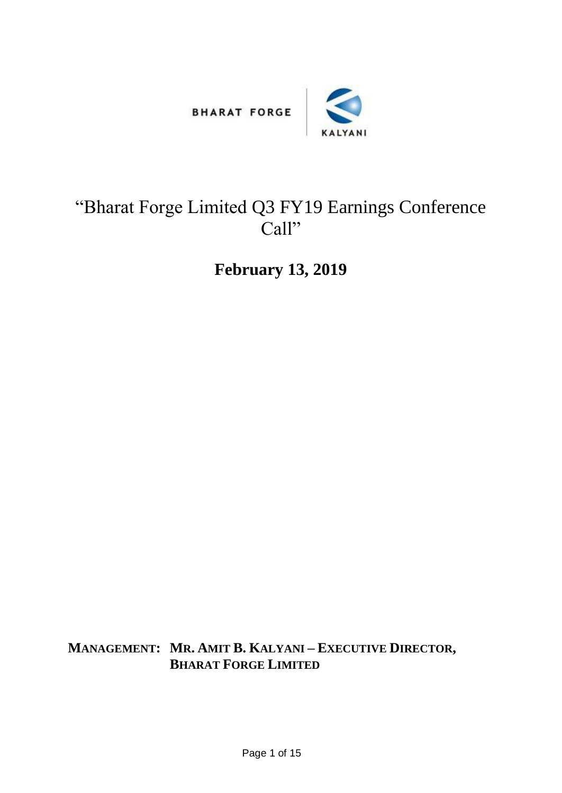



## "Bharat Forge Limited Q3 FY19 Earnings Conference Call"

**February 13, 2019**

**MANAGEMENT: MR. AMIT B. KALYANI – EXECUTIVE DIRECTOR, BHARAT FORGE LIMITED**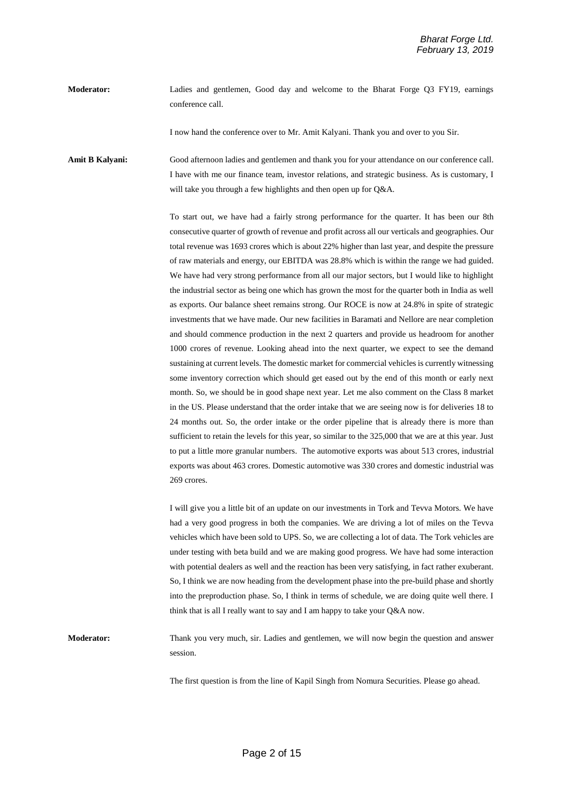**Moderator:** Ladies and gentlemen, Good day and welcome to the Bharat Forge Q3 FY19, earnings conference call.

I now hand the conference over to Mr. Amit Kalyani. Thank you and over to you Sir.

**Amit B Kalyani:** Good afternoon ladies and gentlemen and thank you for your attendance on our conference call. I have with me our finance team, investor relations, and strategic business. As is customary, I will take you through a few highlights and then open up for Q&A.

> To start out, we have had a fairly strong performance for the quarter. It has been our 8th consecutive quarter of growth of revenue and profit across all our verticals and geographies. Our total revenue was 1693 crores which is about 22% higher than last year, and despite the pressure of raw materials and energy, our EBITDA was 28.8% which is within the range we had guided. We have had very strong performance from all our major sectors, but I would like to highlight the industrial sector as being one which has grown the most for the quarter both in India as well as exports. Our balance sheet remains strong. Our ROCE is now at 24.8% in spite of strategic investments that we have made. Our new facilities in Baramati and Nellore are near completion and should commence production in the next 2 quarters and provide us headroom for another 1000 crores of revenue. Looking ahead into the next quarter, we expect to see the demand sustaining at current levels. The domestic market for commercial vehicles is currently witnessing some inventory correction which should get eased out by the end of this month or early next month. So, we should be in good shape next year. Let me also comment on the Class 8 market in the US. Please understand that the order intake that we are seeing now is for deliveries 18 to 24 months out. So, the order intake or the order pipeline that is already there is more than sufficient to retain the levels for this year, so similar to the 325,000 that we are at this year. Just to put a little more granular numbers. The automotive exports was about 513 crores, industrial exports was about 463 crores. Domestic automotive was 330 crores and domestic industrial was 269 crores.

> I will give you a little bit of an update on our investments in Tork and Tevva Motors. We have had a very good progress in both the companies. We are driving a lot of miles on the Tevva vehicles which have been sold to UPS. So, we are collecting a lot of data. The Tork vehicles are under testing with beta build and we are making good progress. We have had some interaction with potential dealers as well and the reaction has been very satisfying, in fact rather exuberant. So, I think we are now heading from the development phase into the pre-build phase and shortly into the preproduction phase. So, I think in terms of schedule, we are doing quite well there. I think that is all I really want to say and I am happy to take your Q&A now.

**Moderator:** Thank you very much, sir. Ladies and gentlemen, we will now begin the question and answer session.

The first question is from the line of Kapil Singh from Nomura Securities. Please go ahead.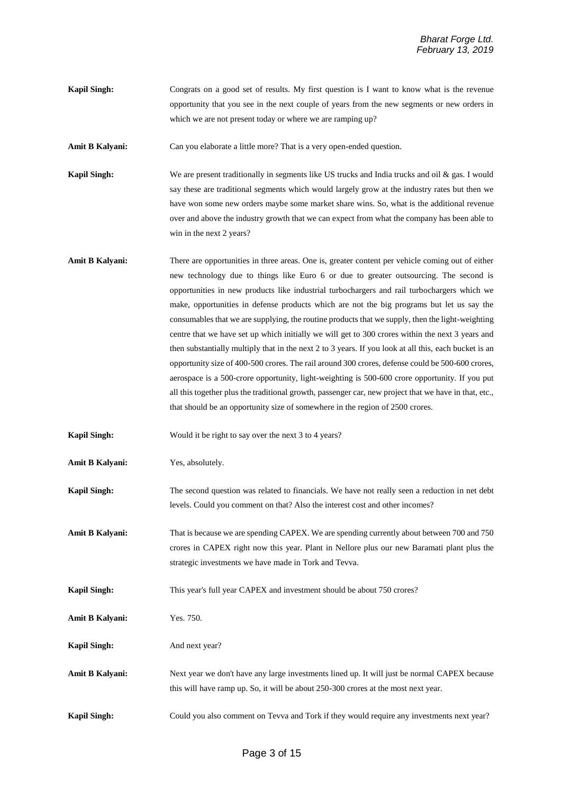**Kapil Singh:** Congrats on a good set of results. My first question is I want to know what is the revenue opportunity that you see in the next couple of years from the new segments or new orders in which we are not present today or where we are ramping up?

**Amit B Kalyani:** Can you elaborate a little more? That is a very open-ended question.

**Kapil Singh:** We are present traditionally in segments like US trucks and India trucks and oil & gas. I would say these are traditional segments which would largely grow at the industry rates but then we have won some new orders maybe some market share wins. So, what is the additional revenue over and above the industry growth that we can expect from what the company has been able to win in the next 2 years?

**Amit B Kalyani:** There are opportunities in three areas. One is, greater content per vehicle coming out of either new technology due to things like Euro 6 or due to greater outsourcing. The second is opportunities in new products like industrial turbochargers and rail turbochargers which we make, opportunities in defense products which are not the big programs but let us say the consumables that we are supplying, the routine products that we supply, then the light-weighting centre that we have set up which initially we will get to 300 crores within the next 3 years and then substantially multiply that in the next 2 to 3 years. If you look at all this, each bucket is an opportunity size of 400-500 crores. The rail around 300 crores, defense could be 500-600 crores, aerospace is a 500-crore opportunity, light-weighting is 500-600 crore opportunity. If you put all this together plus the traditional growth, passenger car, new project that we have in that, etc., that should be an opportunity size of somewhere in the region of 2500 crores.

**Kapil Singh:** Would it be right to say over the next 3 to 4 years?

**Amit B Kalyani:** Yes, absolutely.

**Kapil Singh:** The second question was related to financials. We have not really seen a reduction in net debt levels. Could you comment on that? Also the interest cost and other incomes?

**Amit B Kalyani:** That is because we are spending CAPEX. We are spending currently about between 700 and 750 crores in CAPEX right now this year. Plant in Nellore plus our new Baramati plant plus the strategic investments we have made in Tork and Tevva.

**Kapil Singh:** This year's full year CAPEX and investment should be about 750 crores?

**Amit B Kalyani:** Yes. 750.

**Kapil Singh:** And next year?

**Amit B Kalyani:** Next year we don't have any large investments lined up. It will just be normal CAPEX because this will have ramp up. So, it will be about 250-300 crores at the most next year.

**Kapil Singh:** Could you also comment on Tevva and Tork if they would require any investments next year?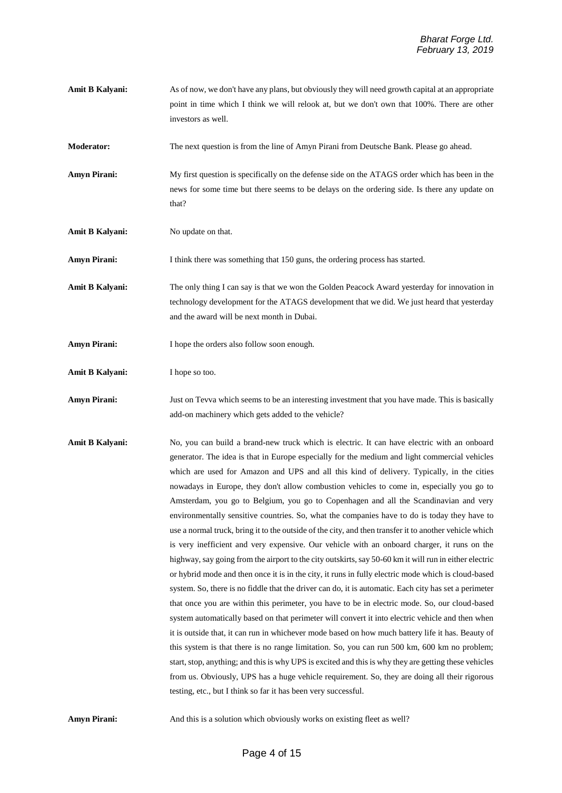- **Amit B Kalyani:** As of now, we don't have any plans, but obviously they will need growth capital at an appropriate point in time which I think we will relook at, but we don't own that 100%. There are other investors as well.
- **Moderator:** The next question is from the line of Amyn Pirani from Deutsche Bank. Please go ahead.
- **Amyn Pirani:** My first question is specifically on the defense side on the ATAGS order which has been in the news for some time but there seems to be delays on the ordering side. Is there any update on that?
- **Amit B Kalyani:** No update on that.
- **Amyn Pirani:** I think there was something that 150 guns, the ordering process has started.
- **Amit B Kalyani:** The only thing I can say is that we won the Golden Peacock Award yesterday for innovation in technology development for the ATAGS development that we did. We just heard that yesterday and the award will be next month in Dubai.
- Amyn Pirani: I hope the orders also follow soon enough.
- **Amit B Kalyani:** I hope so too.
- **Amyn Pirani:** Just on Tevva which seems to be an interesting investment that you have made. This is basically add-on machinery which gets added to the vehicle?
- Amit B Kalyani: No, you can build a brand-new truck which is electric. It can have electric with an onboard generator. The idea is that in Europe especially for the medium and light commercial vehicles which are used for Amazon and UPS and all this kind of delivery. Typically, in the cities nowadays in Europe, they don't allow combustion vehicles to come in, especially you go to Amsterdam, you go to Belgium, you go to Copenhagen and all the Scandinavian and very environmentally sensitive countries. So, what the companies have to do is today they have to use a normal truck, bring it to the outside of the city, and then transfer it to another vehicle which is very inefficient and very expensive. Our vehicle with an onboard charger, it runs on the highway, say going from the airport to the city outskirts, say 50-60 km it will run in either electric or hybrid mode and then once it is in the city, it runs in fully electric mode which is cloud-based system. So, there is no fiddle that the driver can do, it is automatic. Each city has set a perimeter that once you are within this perimeter, you have to be in electric mode. So, our cloud-based system automatically based on that perimeter will convert it into electric vehicle and then when it is outside that, it can run in whichever mode based on how much battery life it has. Beauty of this system is that there is no range limitation. So, you can run 500 km, 600 km no problem; start, stop, anything; and this is why UPS is excited and this is why they are getting these vehicles from us. Obviously, UPS has a huge vehicle requirement. So, they are doing all their rigorous testing, etc., but I think so far it has been very successful.

**Amyn Pirani:** And this is a solution which obviously works on existing fleet as well?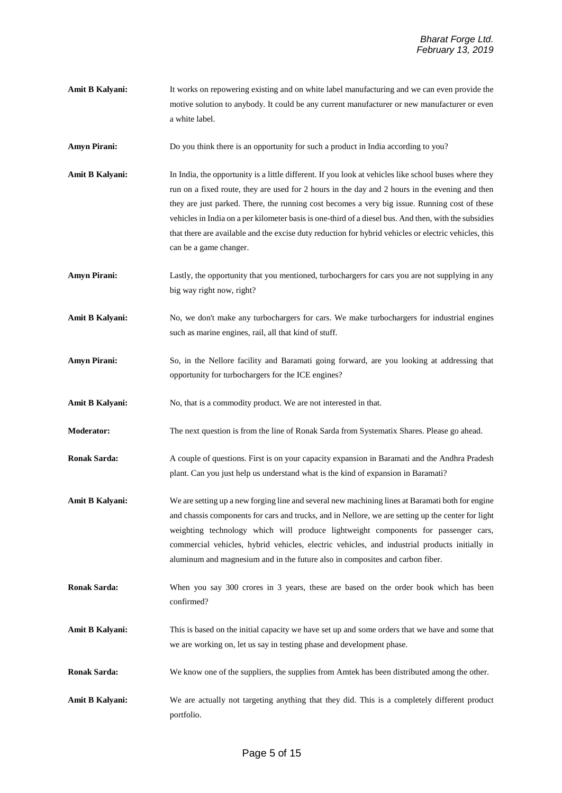- **Amit B Kalyani:** It works on repowering existing and on white label manufacturing and we can even provide the motive solution to anybody. It could be any current manufacturer or new manufacturer or even a white label.
- **Amyn Pirani:** Do you think there is an opportunity for such a product in India according to you?
- **Amit B Kalyani:** In India, the opportunity is a little different. If you look at vehicles like school buses where they run on a fixed route, they are used for 2 hours in the day and 2 hours in the evening and then they are just parked. There, the running cost becomes a very big issue. Running cost of these vehicles in India on a per kilometer basis is one-third of a diesel bus. And then, with the subsidies that there are available and the excise duty reduction for hybrid vehicles or electric vehicles, this can be a game changer.
- **Amyn Pirani:** Lastly, the opportunity that you mentioned, turbochargers for cars you are not supplying in any big way right now, right?
- Amit B Kalyani: No, we don't make any turbochargers for cars. We make turbochargers for industrial engines such as marine engines, rail, all that kind of stuff.
- **Amyn Pirani:** So, in the Nellore facility and Baramati going forward, are you looking at addressing that opportunity for turbochargers for the ICE engines?

**Amit B Kalyani:** No, that is a commodity product. We are not interested in that.

**Moderator:** The next question is from the line of Ronak Sarda from Systematix Shares. Please go ahead.

**Ronak Sarda:** A couple of questions. First is on your capacity expansion in Baramati and the Andhra Pradesh plant. Can you just help us understand what is the kind of expansion in Baramati?

- **Amit B Kalyani:** We are setting up a new forging line and several new machining lines at Baramati both for engine and chassis components for cars and trucks, and in Nellore, we are setting up the center for light weighting technology which will produce lightweight components for passenger cars, commercial vehicles, hybrid vehicles, electric vehicles, and industrial products initially in aluminum and magnesium and in the future also in composites and carbon fiber.
- **Ronak Sarda:** When you say 300 crores in 3 years, these are based on the order book which has been confirmed?
- **Amit B Kalyani:** This is based on the initial capacity we have set up and some orders that we have and some that we are working on, let us say in testing phase and development phase.
- **Ronak Sarda:** We know one of the suppliers, the supplies from Amtek has been distributed among the other.
- **Amit B Kalyani:** We are actually not targeting anything that they did. This is a completely different product portfolio.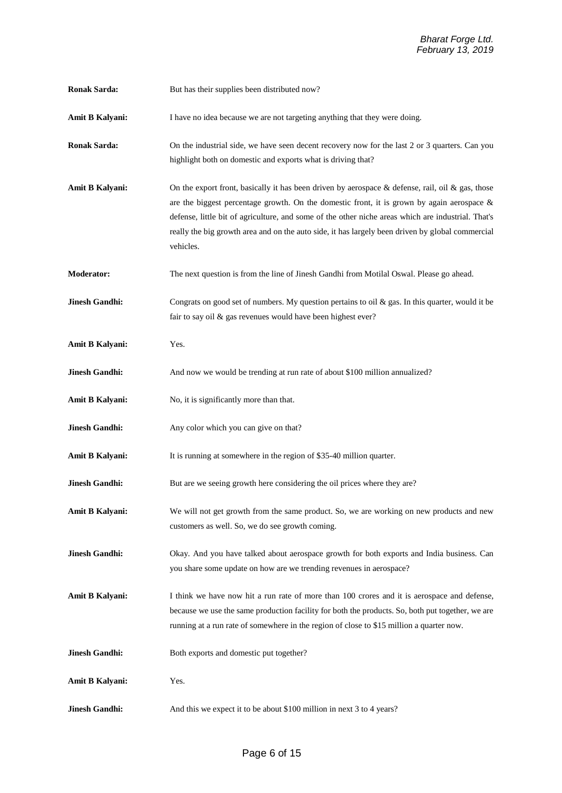| <b>Ronak Sarda:</b>    | But has their supplies been distributed now?                                                                                                                                                                                                                                                                                                                                                                             |  |  |
|------------------------|--------------------------------------------------------------------------------------------------------------------------------------------------------------------------------------------------------------------------------------------------------------------------------------------------------------------------------------------------------------------------------------------------------------------------|--|--|
| <b>Amit B Kalyani:</b> | I have no idea because we are not targeting anything that they were doing.                                                                                                                                                                                                                                                                                                                                               |  |  |
| <b>Ronak Sarda:</b>    | On the industrial side, we have seen decent recovery now for the last 2 or 3 quarters. Can you<br>highlight both on domestic and exports what is driving that?                                                                                                                                                                                                                                                           |  |  |
| <b>Amit B Kalyani:</b> | On the export front, basically it has been driven by aerospace & defense, rail, oil & gas, those<br>are the biggest percentage growth. On the domestic front, it is grown by again aerospace $\&$<br>defense, little bit of agriculture, and some of the other niche areas which are industrial. That's<br>really the big growth area and on the auto side, it has largely been driven by global commercial<br>vehicles. |  |  |
| <b>Moderator:</b>      | The next question is from the line of Jinesh Gandhi from Motilal Oswal. Please go ahead.                                                                                                                                                                                                                                                                                                                                 |  |  |
| <b>Jinesh Gandhi:</b>  | Congrats on good set of numbers. My question pertains to oil $\&$ gas. In this quarter, would it be<br>fair to say oil & gas revenues would have been highest ever?                                                                                                                                                                                                                                                      |  |  |
| <b>Amit B Kalyani:</b> | Yes.                                                                                                                                                                                                                                                                                                                                                                                                                     |  |  |
| <b>Jinesh Gandhi:</b>  | And now we would be trending at run rate of about \$100 million annualized?                                                                                                                                                                                                                                                                                                                                              |  |  |
| Amit B Kalyani:        | No, it is significantly more than that.                                                                                                                                                                                                                                                                                                                                                                                  |  |  |
| <b>Jinesh Gandhi:</b>  | Any color which you can give on that?                                                                                                                                                                                                                                                                                                                                                                                    |  |  |
| Amit B Kalyani:        | It is running at somewhere in the region of \$35-40 million quarter.                                                                                                                                                                                                                                                                                                                                                     |  |  |
| <b>Jinesh Gandhi:</b>  | But are we seeing growth here considering the oil prices where they are?                                                                                                                                                                                                                                                                                                                                                 |  |  |
| Amit B Kalyani:        | We will not get growth from the same product. So, we are working on new products and new<br>customers as well. So, we do see growth coming.                                                                                                                                                                                                                                                                              |  |  |
| <b>Jinesh Gandhi:</b>  | Okay. And you have talked about aerospace growth for both exports and India business. Can<br>you share some update on how are we trending revenues in aerospace?                                                                                                                                                                                                                                                         |  |  |
| <b>Amit B Kalyani:</b> | I think we have now hit a run rate of more than 100 crores and it is aerospace and defense,<br>because we use the same production facility for both the products. So, both put together, we are<br>running at a run rate of somewhere in the region of close to \$15 million a quarter now.                                                                                                                              |  |  |
| <b>Jinesh Gandhi:</b>  | Both exports and domestic put together?                                                                                                                                                                                                                                                                                                                                                                                  |  |  |
| Amit B Kalyani:        | Yes.                                                                                                                                                                                                                                                                                                                                                                                                                     |  |  |
| <b>Jinesh Gandhi:</b>  | And this we expect it to be about \$100 million in next 3 to 4 years?                                                                                                                                                                                                                                                                                                                                                    |  |  |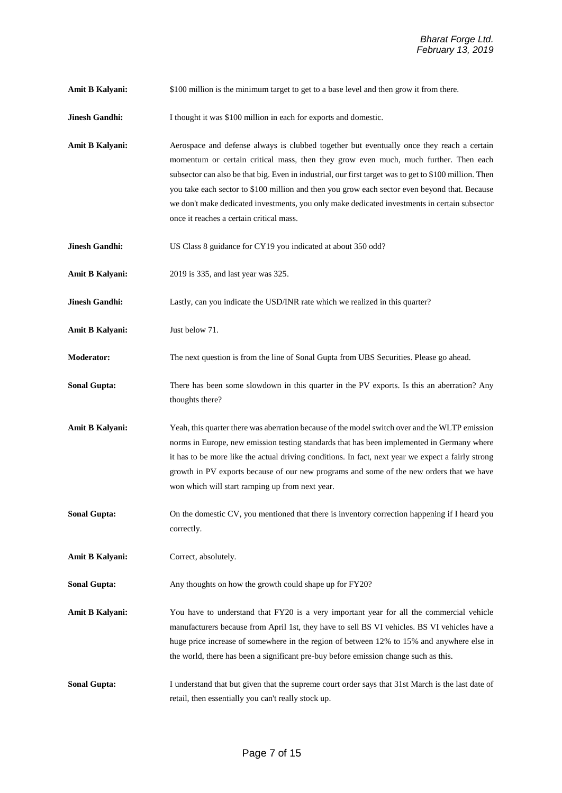**Amit B Kalyani:**  $$100$  million is the minimum target to get to a base level and then grow it from there.

**Jinesh Gandhi:** I thought it was \$100 million in each for exports and domestic.

Amit B Kalyani: Aerospace and defense always is clubbed together but eventually once they reach a certain momentum or certain critical mass, then they grow even much, much further. Then each subsector can also be that big. Even in industrial, our first target was to get to \$100 million. Then you take each sector to \$100 million and then you grow each sector even beyond that. Because we don't make dedicated investments, you only make dedicated investments in certain subsector once it reaches a certain critical mass.

**Jinesh Gandhi:** US Class 8 guidance for CY19 you indicated at about 350 odd?

**Amit B Kalyani:** 2019 is 335, and last year was 325.

**Jinesh Gandhi:** Lastly, can you indicate the USD/INR rate which we realized in this quarter?

**Amit B Kalyani:** Just below 71.

**Moderator:** The next question is from the line of Sonal Gupta from UBS Securities. Please go ahead.

**Sonal Gupta:** There has been some slowdown in this quarter in the PV exports. Is this an aberration? Any thoughts there?

**Amit B Kalyani:** Yeah, this quarter there was aberration because of the model switch over and the WLTP emission norms in Europe, new emission testing standards that has been implemented in Germany where it has to be more like the actual driving conditions. In fact, next year we expect a fairly strong growth in PV exports because of our new programs and some of the new orders that we have won which will start ramping up from next year.

**Sonal Gupta:** On the domestic CV, you mentioned that there is inventory correction happening if I heard you correctly.

**Amit B Kalyani:** Correct, absolutely.

**Sonal Gupta:** Any thoughts on how the growth could shape up for FY20?

**Amit B Kalyani:** You have to understand that FY20 is a very important year for all the commercial vehicle manufacturers because from April 1st, they have to sell BS VI vehicles. BS VI vehicles have a huge price increase of somewhere in the region of between 12% to 15% and anywhere else in the world, there has been a significant pre-buy before emission change such as this.

**Sonal Gupta:** I understand that but given that the supreme court order says that 31st March is the last date of retail, then essentially you can't really stock up.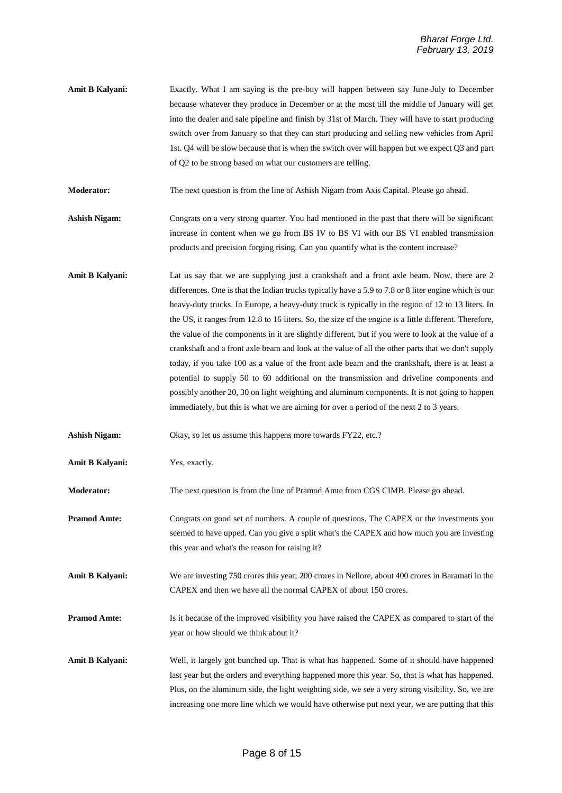**Amit B Kalyani:** Exactly. What I am saying is the pre-buy will happen between say June-July to December because whatever they produce in December or at the most till the middle of January will get into the dealer and sale pipeline and finish by 31st of March. They will have to start producing switch over from January so that they can start producing and selling new vehicles from April 1st. Q4 will be slow because that is when the switch over will happen but we expect Q3 and part of Q2 to be strong based on what our customers are telling.

**Moderator:** The next question is from the line of Ashish Nigam from Axis Capital. Please go ahead.

- **Ashish Nigam:** Congrats on a very strong quarter. You had mentioned in the past that there will be significant increase in content when we go from BS IV to BS VI with our BS VI enabled transmission products and precision forging rising. Can you quantify what is the content increase?
- **Amit B Kalyani:** Lat us say that we are supplying just a crankshaft and a front axle beam. Now, there are 2 differences. One is that the Indian trucks typically have a 5.9 to 7.8 or 8 liter engine which is our heavy-duty trucks. In Europe, a heavy-duty truck is typically in the region of 12 to 13 liters. In the US, it ranges from 12.8 to 16 liters. So, the size of the engine is a little different. Therefore, the value of the components in it are slightly different, but if you were to look at the value of a crankshaft and a front axle beam and look at the value of all the other parts that we don't supply today, if you take 100 as a value of the front axle beam and the crankshaft, there is at least a potential to supply 50 to 60 additional on the transmission and driveline components and possibly another 20, 30 on light weighting and aluminum components. It is not going to happen immediately, but this is what we are aiming for over a period of the next 2 to 3 years.
- **Ashish Nigam:** Okay, so let us assume this happens more towards FY22, etc.?

**Amit B Kalyani:** Yes, exactly.

**Moderator:** The next question is from the line of Pramod Amte from CGS CIMB. Please go ahead.

**Pramod Amte:** Congrats on good set of numbers. A couple of questions. The CAPEX or the investments you seemed to have upped. Can you give a split what's the CAPEX and how much you are investing this year and what's the reason for raising it?

**Amit B Kalyani:** We are investing 750 crores this year; 200 crores in Nellore, about 400 crores in Baramati in the CAPEX and then we have all the normal CAPEX of about 150 crores.

**Pramod Amte:** Is it because of the improved visibility you have raised the CAPEX as compared to start of the year or how should we think about it?

**Amit B Kalyani:** Well, it largely got bunched up. That is what has happened. Some of it should have happened last year but the orders and everything happened more this year. So, that is what has happened. Plus, on the aluminum side, the light weighting side, we see a very strong visibility. So, we are increasing one more line which we would have otherwise put next year, we are putting that this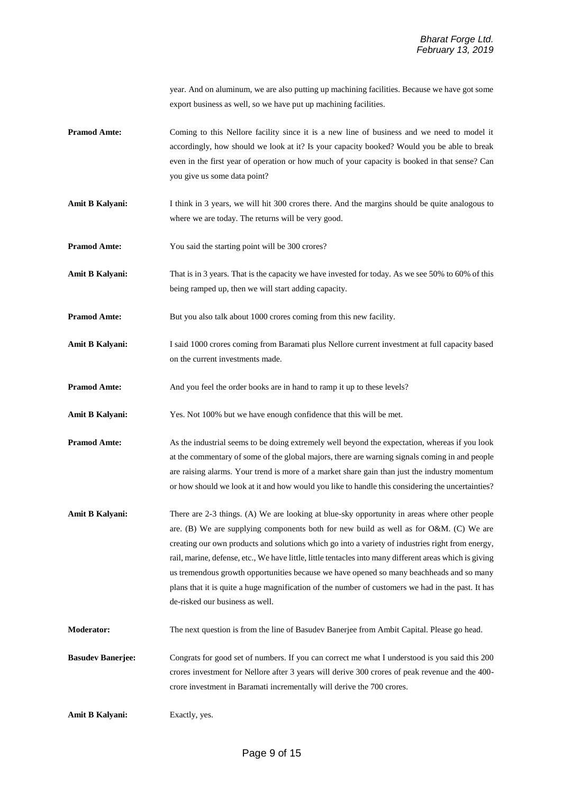year. And on aluminum, we are also putting up machining facilities. Because we have got some export business as well, so we have put up machining facilities.

- **Pramod Amte:** Coming to this Nellore facility since it is a new line of business and we need to model it accordingly, how should we look at it? Is your capacity booked? Would you be able to break even in the first year of operation or how much of your capacity is booked in that sense? Can you give us some data point?
- Amit B Kalyani: I think in 3 years, we will hit 300 crores there. And the margins should be quite analogous to where we are today. The returns will be very good.
- **Pramod Amte:** You said the starting point will be 300 crores?
- Amit B Kalyani: That is in 3 years. That is the capacity we have invested for today. As we see 50% to 60% of this being ramped up, then we will start adding capacity.
- **Pramod Amte:** But you also talk about 1000 crores coming from this new facility.
- Amit B Kalyani: I said 1000 crores coming from Baramati plus Nellore current investment at full capacity based on the current investments made.
- **Pramod Amte:** And you feel the order books are in hand to ramp it up to these levels?
- **Amit B Kalyani:** Yes. Not 100% but we have enough confidence that this will be met.
- **Pramod Amte:** As the industrial seems to be doing extremely well beyond the expectation, whereas if you look at the commentary of some of the global majors, there are warning signals coming in and people are raising alarms. Your trend is more of a market share gain than just the industry momentum or how should we look at it and how would you like to handle this considering the uncertainties?
- **Amit B Kalyani:** There are 2-3 things. (A) We are looking at blue-sky opportunity in areas where other people are. (B) We are supplying components both for new build as well as for O&M. (C) We are creating our own products and solutions which go into a variety of industries right from energy, rail, marine, defense, etc., We have little, little tentacles into many different areas which is giving us tremendous growth opportunities because we have opened so many beachheads and so many plans that it is quite a huge magnification of the number of customers we had in the past. It has de-risked our business as well.
- **Moderator:** The next question is from the line of Basudev Banerjee from Ambit Capital. Please go head.

**Basudev Banerjee:** Congrats for good set of numbers. If you can correct me what I understood is you said this 200 crores investment for Nellore after 3 years will derive 300 crores of peak revenue and the 400 crore investment in Baramati incrementally will derive the 700 crores.

**Amit B Kalyani:** Exactly, yes.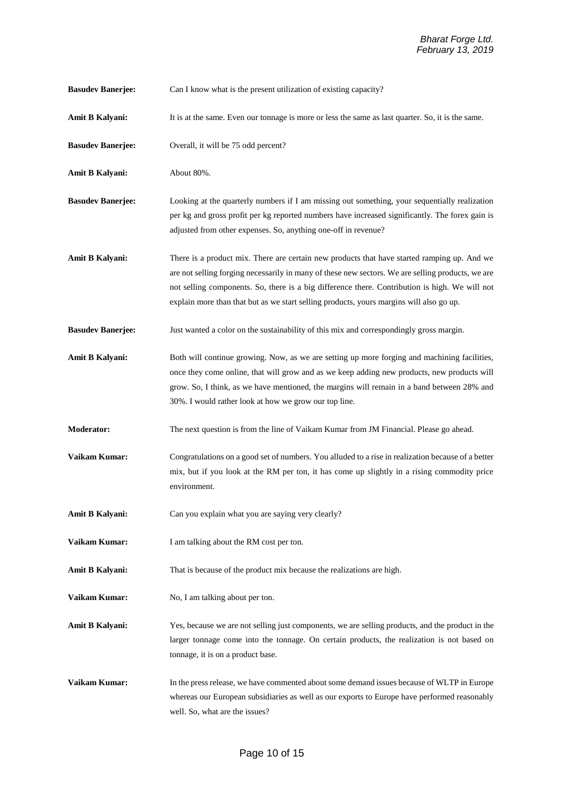| <b>Basudev Banerjee:</b> |  |  | Can I know what is the present utilization of existing capacity? |  |  |
|--------------------------|--|--|------------------------------------------------------------------|--|--|
|--------------------------|--|--|------------------------------------------------------------------|--|--|

- **Amit B Kalyani:** It is at the same. Even our tonnage is more or less the same as last quarter. So, it is the same.
- **Basudev Banerjee:** Overall, it will be 75 odd percent?
- **Amit B Kalyani:** About 80%.
- **Basudev Banerjee:** Looking at the quarterly numbers if I am missing out something, your sequentially realization per kg and gross profit per kg reported numbers have increased significantly. The forex gain is adjusted from other expenses. So, anything one-off in revenue?
- **Amit B Kalyani:** There is a product mix. There are certain new products that have started ramping up. And we are not selling forging necessarily in many of these new sectors. We are selling products, we are not selling components. So, there is a big difference there. Contribution is high. We will not explain more than that but as we start selling products, yours margins will also go up.
- **Basudev Banerjee:** Just wanted a color on the sustainability of this mix and correspondingly gross margin.
- Amit B Kalyani: Both will continue growing. Now, as we are setting up more forging and machining facilities, once they come online, that will grow and as we keep adding new products, new products will grow. So, I think, as we have mentioned, the margins will remain in a band between 28% and 30%. I would rather look at how we grow our top line.
- **Moderator:** The next question is from the line of Vaikam Kumar from JM Financial. Please go ahead.
- **Vaikam Kumar:** Congratulations on a good set of numbers. You alluded to a rise in realization because of a better mix, but if you look at the RM per ton, it has come up slightly in a rising commodity price environment.
- **Amit B Kalyani:** Can you explain what you are saying very clearly?
- **Vaikam Kumar:** I am talking about the RM cost per ton.
- **Amit B Kalyani:** That is because of the product mix because the realizations are high.
- **Vaikam Kumar:** No, I am talking about per ton.
- **Amit B Kalyani:** Yes, because we are not selling just components, we are selling products, and the product in the larger tonnage come into the tonnage. On certain products, the realization is not based on tonnage, it is on a product base.
- **Vaikam Kumar:** In the press release, we have commented about some demand issues because of WLTP in Europe whereas our European subsidiaries as well as our exports to Europe have performed reasonably well. So, what are the issues?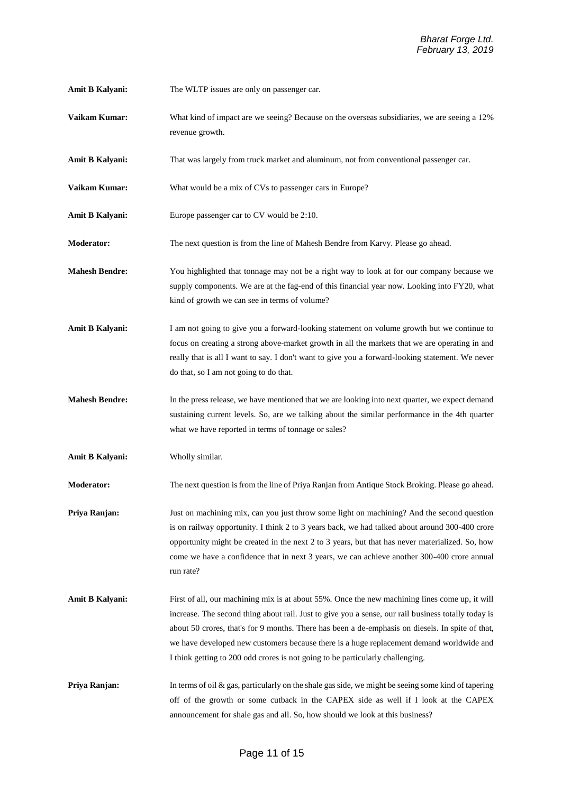- **Amit B Kalyani:** The WLTP issues are only on passenger car.
- **Vaikam Kumar:** What kind of impact are we seeing? Because on the overseas subsidiaries, we are seeing a 12% revenue growth.
- **Amit B Kalyani:** That was largely from truck market and aluminum, not from conventional passenger car.
- **Vaikam Kumar:** What would be a mix of CVs to passenger cars in Europe?
- **Amit B Kalyani:** Europe passenger car to CV would be 2:10.
- **Moderator:** The next question is from the line of Mahesh Bendre from Karvy. Please go ahead.
- **Mahesh Bendre:** You highlighted that tonnage may not be a right way to look at for our company because we supply components. We are at the fag-end of this financial year now. Looking into FY20, what kind of growth we can see in terms of volume?
- **Amit B Kalyani:** I am not going to give you a forward-looking statement on volume growth but we continue to focus on creating a strong above-market growth in all the markets that we are operating in and really that is all I want to say. I don't want to give you a forward-looking statement. We never do that, so I am not going to do that.
- **Mahesh Bendre:** In the press release, we have mentioned that we are looking into next quarter, we expect demand sustaining current levels. So, are we talking about the similar performance in the 4th quarter what we have reported in terms of tonnage or sales?
- **Amit B Kalyani:** Wholly similar.

**Moderator:** The next question is from the line of Priya Ranjan from Antique Stock Broking. Please go ahead.

- **Priya Ranjan:** Just on machining mix, can you just throw some light on machining? And the second question is on railway opportunity. I think 2 to 3 years back, we had talked about around 300-400 crore opportunity might be created in the next 2 to 3 years, but that has never materialized. So, how come we have a confidence that in next 3 years, we can achieve another 300-400 crore annual run rate?
- **Amit B Kalyani:** First of all, our machining mix is at about 55%. Once the new machining lines come up, it will increase. The second thing about rail. Just to give you a sense, our rail business totally today is about 50 crores, that's for 9 months. There has been a de-emphasis on diesels. In spite of that, we have developed new customers because there is a huge replacement demand worldwide and I think getting to 200 odd crores is not going to be particularly challenging.
- **Priya Ranjan:** In terms of oil & gas, particularly on the shale gas side, we might be seeing some kind of tapering off of the growth or some cutback in the CAPEX side as well if I look at the CAPEX announcement for shale gas and all. So, how should we look at this business?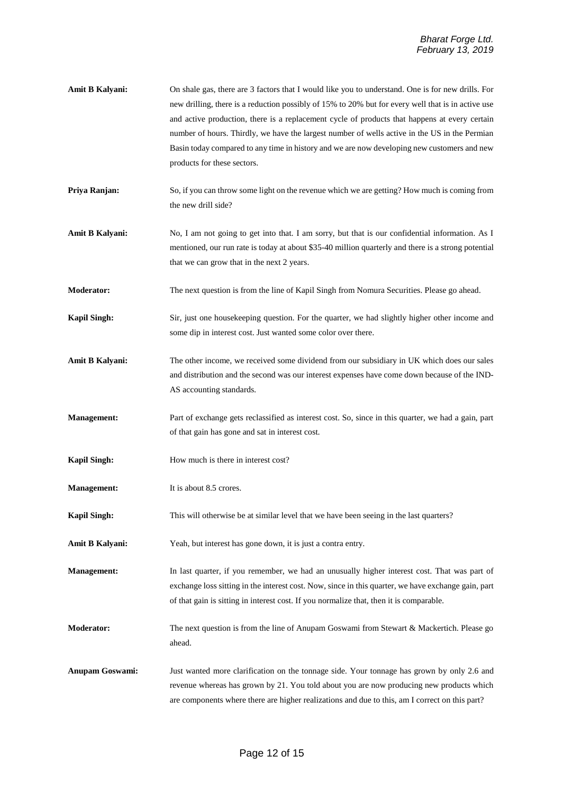- **Amit B Kalyani:** On shale gas, there are 3 factors that I would like you to understand. One is for new drills. For new drilling, there is a reduction possibly of 15% to 20% but for every well that is in active use and active production, there is a replacement cycle of products that happens at every certain number of hours. Thirdly, we have the largest number of wells active in the US in the Permian Basin today compared to any time in history and we are now developing new customers and new products for these sectors.
- **Priya Ranjan:** So, if you can throw some light on the revenue which we are getting? How much is coming from the new drill side?
- **Amit B Kalyani:** No, I am not going to get into that. I am sorry, but that is our confidential information. As I mentioned, our run rate is today at about \$35-40 million quarterly and there is a strong potential that we can grow that in the next 2 years.
- **Moderator:** The next question is from the line of Kapil Singh from Nomura Securities. Please go ahead.
- **Kapil Singh:** Sir, just one housekeeping question. For the quarter, we had slightly higher other income and some dip in interest cost. Just wanted some color over there.
- **Amit B Kalyani:** The other income, we received some dividend from our subsidiary in UK which does our sales and distribution and the second was our interest expenses have come down because of the IND-AS accounting standards.
- **Management:** Part of exchange gets reclassified as interest cost. So, since in this quarter, we had a gain, part of that gain has gone and sat in interest cost.
- **Kapil Singh:** How much is there in interest cost?
- **Management:** It is about 8.5 crores.
- **Kapil Singh:** This will otherwise be at similar level that we have been seeing in the last quarters?
- **Amit B Kalyani:** Yeah, but interest has gone down, it is just a contra entry.
- **Management:** In last quarter, if you remember, we had an unusually higher interest cost. That was part of exchange loss sitting in the interest cost. Now, since in this quarter, we have exchange gain, part of that gain is sitting in interest cost. If you normalize that, then it is comparable.
- **Moderator:** The next question is from the line of Anupam Goswami from Stewart & Mackertich. Please go ahead.
- **Anupam Goswami:** Just wanted more clarification on the tonnage side. Your tonnage has grown by only 2.6 and revenue whereas has grown by 21. You told about you are now producing new products which are components where there are higher realizations and due to this, am I correct on this part?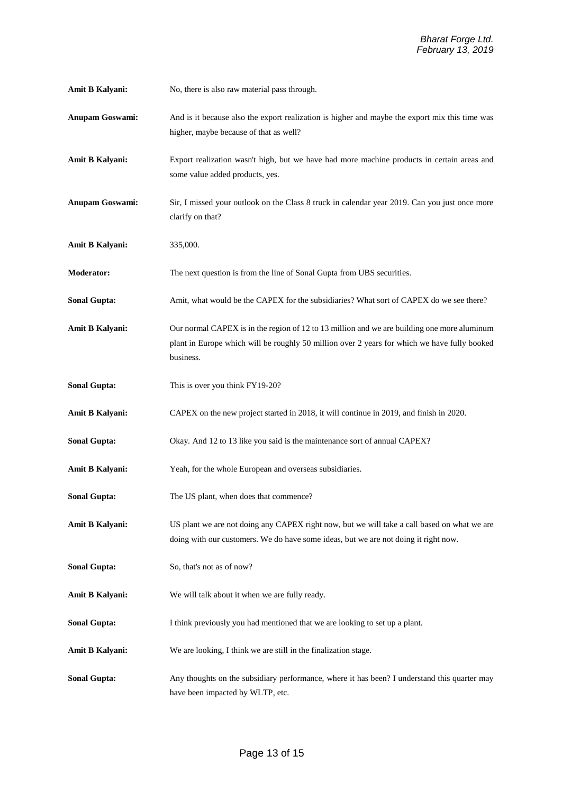| Amit B Kalyani: | No, there is also raw material pass through. |  |
|-----------------|----------------------------------------------|--|
|-----------------|----------------------------------------------|--|

- **Anupam Goswami:** And is it because also the export realization is higher and maybe the export mix this time was higher, maybe because of that as well?
- **Amit B Kalyani:** Export realization wasn't high, but we have had more machine products in certain areas and some value added products, yes.
- **Anupam Goswami:** Sir, I missed your outlook on the Class 8 truck in calendar year 2019. Can you just once more clarify on that?
- **Amit B Kalyani:** 335,000.
- **Moderator:** The next question is from the line of Sonal Gupta from UBS securities.
- **Sonal Gupta:** Amit, what would be the CAPEX for the subsidiaries? What sort of CAPEX do we see there?
- **Amit B Kalyani:** Our normal CAPEX is in the region of 12 to 13 million and we are building one more aluminum plant in Europe which will be roughly 50 million over 2 years for which we have fully booked business.
- **Sonal Gupta:** This is over you think FY19-20?
- **Amit B Kalyani:** CAPEX on the new project started in 2018, it will continue in 2019, and finish in 2020.
- **Sonal Gupta:** Okay. And 12 to 13 like you said is the maintenance sort of annual CAPEX?
- Amit B Kalyani: Yeah, for the whole European and overseas subsidiaries.
- **Sonal Gupta:** The US plant, when does that commence?
- **Amit B Kalyani:** US plant we are not doing any CAPEX right now, but we will take a call based on what we are doing with our customers. We do have some ideas, but we are not doing it right now.
- **Sonal Gupta:** So, that's not as of now?
- **Amit B Kalyani:** We will talk about it when we are fully ready.
- **Sonal Gupta:** I think previously you had mentioned that we are looking to set up a plant.
- **Amit B Kalyani:** We are looking, I think we are still in the finalization stage.
- **Sonal Gupta:** Any thoughts on the subsidiary performance, where it has been? I understand this quarter may have been impacted by WLTP, etc.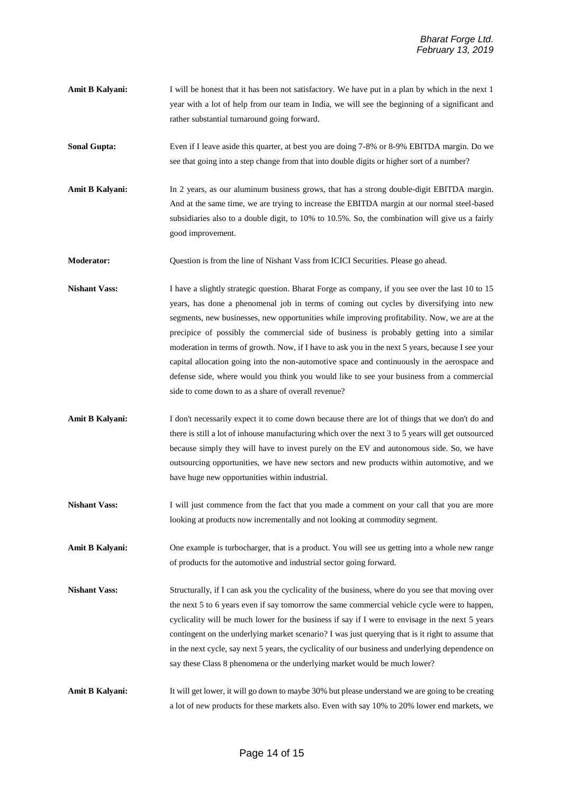**Amit B Kalyani:** I will be honest that it has been not satisfactory. We have put in a plan by which in the next 1 year with a lot of help from our team in India, we will see the beginning of a significant and rather substantial turnaround going forward.

**Sonal Gupta:** Even if I leave aside this quarter, at best you are doing 7-8% or 8-9% EBITDA margin. Do we see that going into a step change from that into double digits or higher sort of a number?

Amit B Kalyani: In 2 years, as our aluminum business grows, that has a strong double-digit EBITDA margin. And at the same time, we are trying to increase the EBITDA margin at our normal steel-based subsidiaries also to a double digit, to 10% to 10.5%. So, the combination will give us a fairly good improvement.

**Moderator:** Question is from the line of Nishant Vass from ICICI Securities. Please go ahead.

**Nishant Vass:** I have a slightly strategic question. Bharat Forge as company, if you see over the last 10 to 15 years, has done a phenomenal job in terms of coming out cycles by diversifying into new segments, new businesses, new opportunities while improving profitability. Now, we are at the precipice of possibly the commercial side of business is probably getting into a similar moderation in terms of growth. Now, if I have to ask you in the next 5 years, because I see your capital allocation going into the non-automotive space and continuously in the aerospace and defense side, where would you think you would like to see your business from a commercial side to come down to as a share of overall revenue?

- **Amit B Kalyani:** I don't necessarily expect it to come down because there are lot of things that we don't do and there is still a lot of inhouse manufacturing which over the next 3 to 5 years will get outsourced because simply they will have to invest purely on the EV and autonomous side. So, we have outsourcing opportunities, we have new sectors and new products within automotive, and we have huge new opportunities within industrial.
- **Nishant Vass:** I will just commence from the fact that you made a comment on your call that you are more looking at products now incrementally and not looking at commodity segment.

**Amit B Kalyani:** One example is turbocharger, that is a product. You will see us getting into a whole new range of products for the automotive and industrial sector going forward.

**Nishant Vass:** Structurally, if I can ask you the cyclicality of the business, where do you see that moving over the next 5 to 6 years even if say tomorrow the same commercial vehicle cycle were to happen, cyclicality will be much lower for the business if say if I were to envisage in the next 5 years contingent on the underlying market scenario? I was just querying that is it right to assume that in the next cycle, say next 5 years, the cyclicality of our business and underlying dependence on say these Class 8 phenomena or the underlying market would be much lower?

**Amit B Kalyani:** It will get lower, it will go down to maybe 30% but please understand we are going to be creating a lot of new products for these markets also. Even with say 10% to 20% lower end markets, we